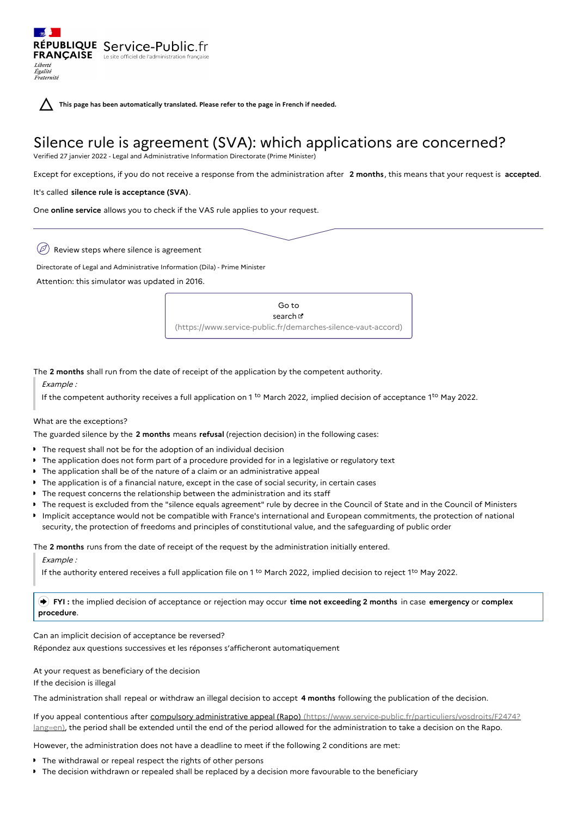**This page has been automatically translated. Please refer to the page in French if needed.**

# Silence rule is agreement (SVA): which applications are concerned?

Verified 27 janvier 2022 - Legal and Administrative Information Directorate (Prime Minister)

Except for exceptions, if you do not receive a response from the administration after **2 months**, this means that your request is **accepted**.

## It's called **silence rule is acceptance (SVA)**.

RÉPUBLIQUE Service-Public.fr **FRANÇAISE** Le site officiel de l'administration

One **online service** allows you to check if the VAS rule applies to your request.

 $(\varnothing)$ Review steps where silence is agreement

Directorate of Legal and Administrative Information (Dila) - Prime Minister

Attention: this simulator was updated in 2016.

Go to search **B** [\(https://www.service-public.fr/demarches-silence-vaut-accord\)](https://www.service-public.fr/demarches-silence-vaut-accord)

The **2 months** shall run from the date of receipt of the application by the competent authority.

Example :

Liberté Égalité<br>Fraternité

If the competent authority receives a full application on 1<sup>to</sup> March 2022, implied decision of acceptance 1<sup>to</sup> May 2022.

### What are the exceptions?

The guarded silence by the **2 months** means **refusal** (rejection decision) in the following cases:

- The request shall not be for the adoption of an individual decision
- $\bullet$  The application does not form part of a procedure provided for in a legislative or regulatory text
- The application shall be of the nature of a claim or an administrative appeal
- The application is of a financial nature, except in the case of social security, in certain cases
- $\triangleright$  The request concerns the relationship between the administration and its staff
- The request is excluded from the "silence equals agreement" rule by decree in the Council of State and in the Council of Ministers
- Implicit acceptance would not be compatible with France's international and European commitments, the protection of national security, the protection of freedoms and principles of constitutional value, and the safeguarding of public order

The **2 months** runs from the date of receipt of the request by the administration initially entered.

Example :

If the authority entered receives a full application file on 1 <sup>to</sup> March 2022, implied decision to reject 1<sup>to</sup> May 2022.

 **FYI :** the implied decision of acceptance or rejection may occur **time not exceeding 2 months** in case **emergency** or **complex procedure**.

Can an implicit decision of acceptance be reversed?

Répondez aux questions successives et les réponses s'afficheront automatiquement

At your request as beneficiary of the decision If the decision is illegal

The administration shall repeal or withdraw an illegal decision to accept **4 months** following the publication of the decision.

If you appeal contentious after compulsory administrative appeal (Rapo) [\(https://www.service-public.fr/particuliers/vosdroits/F2474?](https://www.service-public.fr/particuliers/vosdroits/F2474?lang=en) lang=en), the period shall be extended until the end of the period allowed for the administration to take a decision on the Rapo.

However, the administration does not have a deadline to meet if the following 2 conditions are met:

- The withdrawal or repeal respect the rights of other persons
- The decision withdrawn or repealed shall be replaced by a decision more favourable to the beneficiary